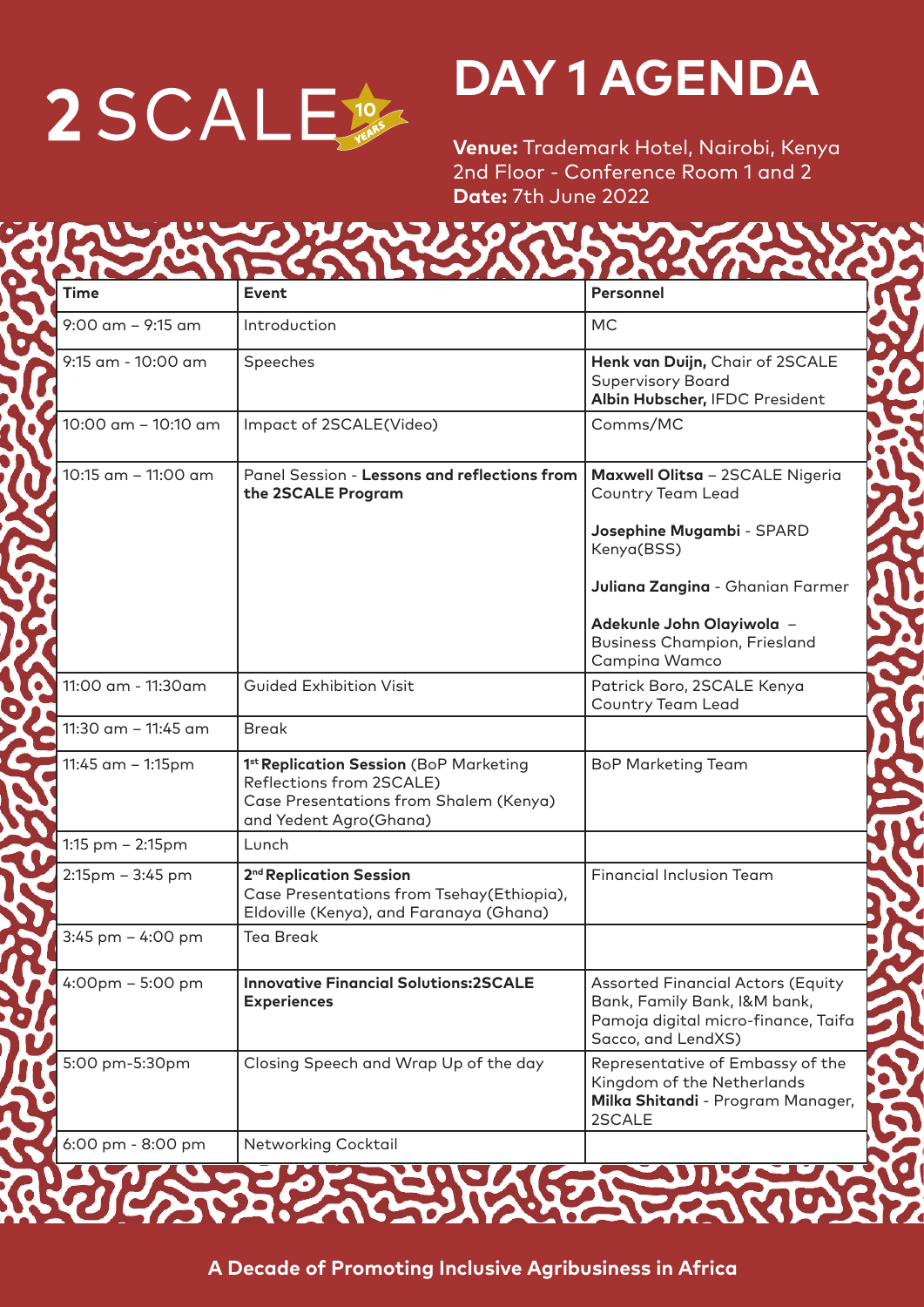

## **DAY 1 AGENDA**

**Venue:** Trademark Hotel, Nairobi, Kenya 2nd Floor - Conference Room 1 and 2 **Date:** 7th June 2022

**MALAM ANTES** 

| <b>Time</b>                       | <b>Event</b>                                                                                                                           | Personnel                                                                                                                             |
|-----------------------------------|----------------------------------------------------------------------------------------------------------------------------------------|---------------------------------------------------------------------------------------------------------------------------------------|
| $9:00$ am $-9:15$ am              | Introduction                                                                                                                           | <b>MC</b>                                                                                                                             |
| 9:15 am - 10:00 am                | Speeches                                                                                                                               | Henk van Duijn, Chair of 2SCALE<br><b>Supervisory Board</b><br>Albin Hubscher, IFDC President                                         |
| 10:00 am - 10:10 am               | Impact of 2SCALE(Video)                                                                                                                | Comms/MC                                                                                                                              |
| 10:15 am - 11:00 am               | Panel Session - Lessons and reflections from<br>the 2SCALE Program                                                                     | Maxwell Olitsa - 2SCALE Nigeria<br><b>Country Team Lead</b><br>Josephine Mugambi - SPARD                                              |
|                                   |                                                                                                                                        | Kenya(BSS)<br>Juliana Zangina - Ghanian Farmer<br>Adekunle John Olayiwola -<br><b>Business Champion, Friesland</b><br>Campina Wamco   |
| 11:00 am - 11:30am                | <b>Guided Exhibition Visit</b>                                                                                                         | Patrick Boro, 2SCALE Kenya<br><b>Country Team Lead</b>                                                                                |
| 11:30 am - 11:45 am               | <b>Break</b>                                                                                                                           |                                                                                                                                       |
| 11:45 am - 1:15pm                 | 1st Replication Session (BoP Marketing<br>Reflections from 2SCALE)<br>Case Presentations from Shalem (Kenya)<br>and Yedent Agro(Ghana) | <b>BoP Marketing Team</b>                                                                                                             |
| 1:15 pm - 2:15pm                  | Lunch                                                                                                                                  |                                                                                                                                       |
| 2:15pm - 3:45 pm                  | 2 <sup>nd</sup> Replication Session<br>Case Presentations from Tsehay(Ethiopia),<br>Eldoville (Kenya), and Faranaya (Ghana)            | <b>Financial Inclusion Team</b>                                                                                                       |
| 3:45 pm - 4:00 pm                 | <b>Tea Break</b>                                                                                                                       |                                                                                                                                       |
| $4:00 \text{pm} - 5:00 \text{pm}$ | <b>Innovative Financial Solutions:2SCALE</b><br><b>Experiences</b>                                                                     | <b>Assorted Financial Actors (Equity</b><br>Bank, Family Bank, I&M bank,<br>Pamoja digital micro-finance, Taifa<br>Sacco, and LendXS) |
| 5:00 pm-5:30pm                    | Closing Speech and Wrap Up of the day                                                                                                  | Representative of Embassy of the<br>Kingdom of the Netherlands<br>Milka Shitandi - Program Manager,<br>2SCALE                         |
| 6:00 pm - 8:00 pm                 | Networking Cocktail                                                                                                                    |                                                                                                                                       |

**A Decade of Promoting Inclusive Agribusiness in Africa**